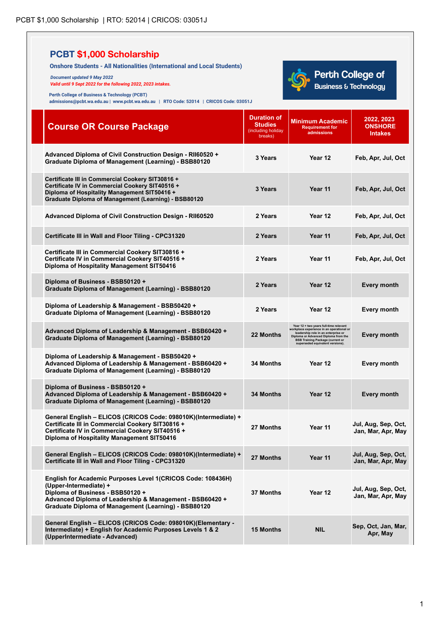**(UpperIntermediate - Advanced)**

| <b>Onshore Students - All Nationalities (International and Local Students)</b><br>Document updated 9 May 2022<br>Valid until 9 Sept 2022 for the following 2022, 2023 intakes.<br>Perth College of Business & Technology (PCBT)<br>admissions@pcbt.wa.edu.au   www.pcbt.wa.edu.au   RTO Code: 52014   CRICOS Code: 03051J |                                                                | <b>Perth College of</b><br><b>Business &amp; Technology</b>                                                                                                                                                                                    |                                                |
|---------------------------------------------------------------------------------------------------------------------------------------------------------------------------------------------------------------------------------------------------------------------------------------------------------------------------|----------------------------------------------------------------|------------------------------------------------------------------------------------------------------------------------------------------------------------------------------------------------------------------------------------------------|------------------------------------------------|
| <b>Course OR Course Package</b>                                                                                                                                                                                                                                                                                           | <b>Duration of</b><br>Studies<br>(including holiday<br>breaks) | Minimum Academic<br><b>Requirement for</b><br>admissions                                                                                                                                                                                       | 2022, 2023<br><b>ONSHORE</b><br><b>Intakes</b> |
| Advanced Diploma of Civil Construction Design - RII60520 +<br>Graduate Diploma of Management (Learning) - BSB80120                                                                                                                                                                                                        | 3 Years                                                        | Year 12                                                                                                                                                                                                                                        | Feb, Apr, Jul, Oct                             |
| Certificate III in Commercial Cookery SIT30816 +<br>Certificate IV in Commercial Cookery SIT40516 +<br>Diploma of Hospitality Management SIT50416 +<br>Graduate Diploma of Management (Learning) - BSB80120                                                                                                               | 3 Years                                                        | Year 11                                                                                                                                                                                                                                        | Feb, Apr, Jul, Oct                             |
| Advanced Diploma of Civil Construction Design - RII60520                                                                                                                                                                                                                                                                  | 2 Years                                                        | Year 12                                                                                                                                                                                                                                        | Feb, Apr, Jul, Oct                             |
| Certificate III in Wall and Floor Tiling - CPC31320                                                                                                                                                                                                                                                                       | 2 Years                                                        | Year 11                                                                                                                                                                                                                                        | Feb, Apr, Jul, Oct                             |
| Certificate III in Commercial Cookery SIT30816 +<br>Certificate IV in Commercial Cookery SIT40516 +<br>Diploma of Hospitality Management SIT50416                                                                                                                                                                         | 2 Years                                                        | Year 11                                                                                                                                                                                                                                        | Feb, Apr, Jul, Oct                             |
| Diploma of Business - BSB50120 +<br><b>Graduate Diploma of Management (Learning) - BSB80120</b>                                                                                                                                                                                                                           | 2 Years                                                        | Year 12                                                                                                                                                                                                                                        | <b>Every month</b>                             |
| Diploma of Leadership & Management - BSB50420 +<br><b>Graduate Diploma of Management (Learning) - BSB80120</b>                                                                                                                                                                                                            | 2 Years                                                        | Year 12                                                                                                                                                                                                                                        | Every month                                    |
| Advanced Diploma of Leadership & Management - BSB60420 +<br><b>Graduate Diploma of Management (Learning) - BSB80120</b>                                                                                                                                                                                                   | 22 Months                                                      | Year 12 + two vears full-time relevant<br>workplace experience in an operational or<br>leadership role in an enterprise or<br>Diploma or Advanced Diploma from the<br><b>BSB Training Package (current or superseded equivalent versions).</b> | Every month                                    |
| Diploma of Leadership & Management - BSB50420 +<br>Advanced Diploma of Leadership & Management - BSB60420 +<br>Graduate Diploma of Management (Learning) - BSB80120                                                                                                                                                       | <b>34 Months</b>                                               | Year 12                                                                                                                                                                                                                                        | Every month                                    |
| Diploma of Business - BSB50120 +<br>Advanced Diploma of Leadership & Management - BSB60420 +<br><b>Graduate Diploma of Management (Learning) - BSB80120</b>                                                                                                                                                               | <b>34 Months</b>                                               | Year 12                                                                                                                                                                                                                                        | <b>Every month</b>                             |
| General English - ELICOS (CRICOS Code: 098010K)(Intermediate) +<br>Certificate III in Commercial Cookery SIT30816 +<br>Certificate IV in Commercial Cookery SIT40516 +<br>Diploma of Hospitality Management SIT50416                                                                                                      | 27 Months                                                      | Year 11                                                                                                                                                                                                                                        | Jul, Aug, Sep, Oct,<br>Jan, Mar, Apr, May      |
| General English - ELICOS (CRICOS Code: 098010K)(Intermediate) +<br>Certificate III in Wall and Floor Tiling - CPC31320                                                                                                                                                                                                    | 27 Months                                                      | Year 11                                                                                                                                                                                                                                        | Jul, Aug, Sep, Oct,<br>Jan, Mar, Apr, May      |
| English for Academic Purposes Level 1(CRICOS Code: 108436H)<br>(Upper-Intermediate) +<br>Diploma of Business - BSB50120 +<br>Advanced Diploma of Leadership & Management - BSB60420 +<br><b>Graduate Diploma of Management (Learning) - BSB80120</b>                                                                      | 37 Months                                                      | Year 12                                                                                                                                                                                                                                        | Jul, Aug, Sep, Oct,<br>Jan, Mar, Apr, May      |
| General English - ELICOS (CRICOS Code: 098010K)(Elementary -<br>Intermediate) + English for Academic Purposes Levels 1 & 2<br>(UnnerIntermediate - Advanced)                                                                                                                                                              | <b>15 Months</b>                                               | <b>NIL</b>                                                                                                                                                                                                                                     | Sep, Oct, Jan, Mar,<br>Apr, May                |